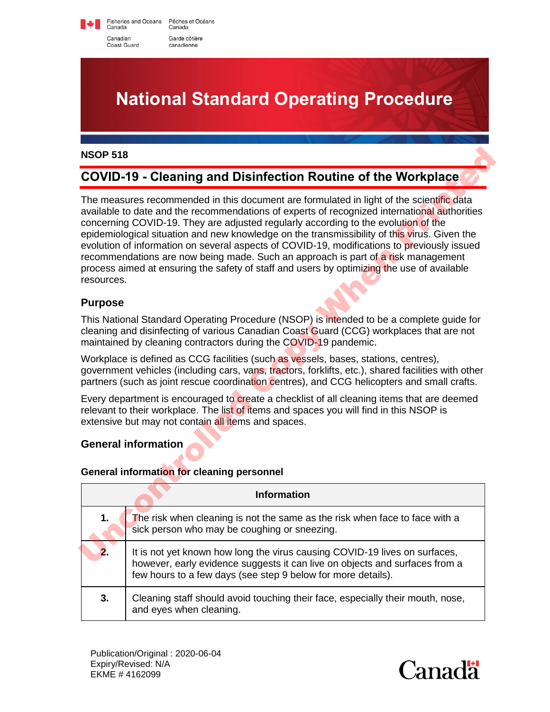Fisheries and Oceans Pêches et Océans Canada Canada Canadian Garde côtière Coast Guard canadienne

**National Standard Operating Procedure**

#### **NSOP 518**

## **COVID-19 - Cleaning and Disinfection Routine of the Workplace**

The measures recommended in this document are formulated in light of the scientific data available to date and the recommendations of experts of recognized international authorities concerning COVID-19. They are adjusted regularly according to the evolution of the epidemiological situation and new knowledge on the transmissibility of this virus. Given the evolution of information on several aspects of COVID-19, modifications to previously issued recommendations are now being made. Such an approach is part of a risk management process aimed at ensuring the safety of staff and users by optimizing the use of available resources. NSOP 518<br>
COVID-19 - Clearning and Disinfection Routine of the Workplace<br>
The measures recommended in this document are formulated in light of the scientific data<br>
available to date and the recommendations of oxerpatic of

### **Purpose**

This National Standard Operating Procedure (NSOP) is intended to be a complete guide for cleaning and disinfecting of various Canadian Coast Guard (CCG) workplaces that are not maintained by cleaning contractors during the COVID-19 pandemic.

Workplace is defined as CCG facilities (such as vessels, bases, stations, centres), government vehicles (including cars, vans, tractors, forklifts, etc.), shared facilities with other partners (such as joint rescue coordination centres), and CCG helicopters and small crafts.

Every department is encouraged to create a checklist of all cleaning items that are deemed relevant to their workplace. The list of items and spaces you will find in this NSOP is extensive but may not contain all items and spaces.

#### **General information**

#### **General information for cleaning personnel**

|    | <b>Information</b>                                                                                                                                                                                                        |
|----|---------------------------------------------------------------------------------------------------------------------------------------------------------------------------------------------------------------------------|
| 1. | The risk when cleaning is not the same as the risk when face to face with a sick person who may be coughing or sneezing.                                                                                                  |
| 2. | It is not yet known how long the virus causing COVID-19 lives on surfaces,<br>however, early evidence suggests it can live on objects and surfaces from a<br>few hours to a few days (see step 9 below for more details). |
| 3. | Cleaning staff should avoid touching their face, especially their mouth, nose,<br>and eyes when cleaning.                                                                                                                 |

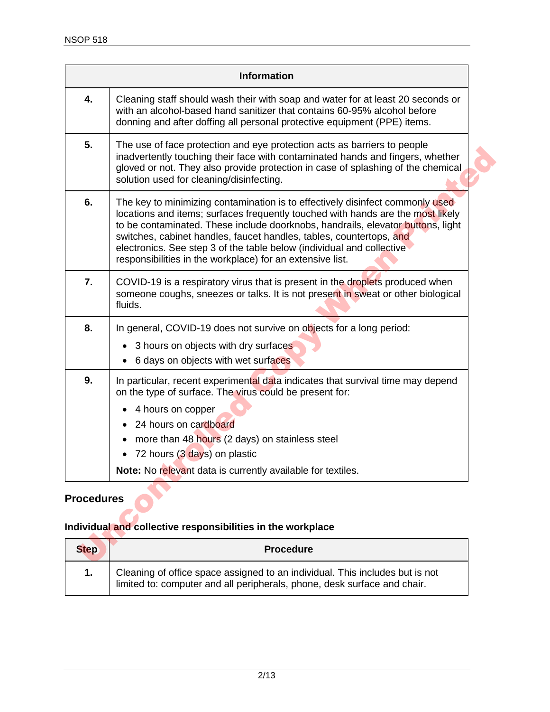|                   | <b>Information</b>                                                                                                                                                                                                                                                                                                                                                                                                                                               |
|-------------------|------------------------------------------------------------------------------------------------------------------------------------------------------------------------------------------------------------------------------------------------------------------------------------------------------------------------------------------------------------------------------------------------------------------------------------------------------------------|
| 4.                | Cleaning staff should wash their with soap and water for at least 20 seconds or<br>with an alcohol-based hand sanitizer that contains 60-95% alcohol before<br>donning and after doffing all personal protective equipment (PPE) items.                                                                                                                                                                                                                          |
| 5.                | The use of face protection and eye protection acts as barriers to people<br>inadvertently touching their face with contaminated hands and fingers, whether<br>gloved or not. They also provide protection in case of splashing of the chemical<br>solution used for cleaning/disinfecting.                                                                                                                                                                       |
| 6.                | The key to minimizing contamination is to effectively disinfect commonly used<br>locations and items; surfaces frequently touched with hands are the most likely<br>to be contaminated. These include doorknobs, handrails, elevator buttons, light<br>switches, cabinet handles, faucet handles, tables, countertops, and<br>electronics. See step 3 of the table below (individual and collective<br>responsibilities in the workplace) for an extensive list. |
| 7.                | COVID-19 is a respiratory virus that is present in the droplets produced when<br>someone coughs, sneezes or talks. It is not present in sweat or other biological<br>fluids.                                                                                                                                                                                                                                                                                     |
| 8.                | In general, COVID-19 does not survive on objects for a long period:<br>3 hours on objects with dry surfaces<br>٠<br>6 days on objects with wet surfaces                                                                                                                                                                                                                                                                                                          |
| 9.                | In particular, recent experimental data indicates that survival time may depend<br>on the type of surface. The virus could be present for:<br>4 hours on copper<br>24 hours on cardboard<br>more than 48 hours (2 days) on stainless steel<br>72 hours (3 days) on plastic<br>$\bullet$<br>Note: No relevant data is currently available for textiles.                                                                                                           |
| <b>Procedures</b> |                                                                                                                                                                                                                                                                                                                                                                                                                                                                  |
|                   | Individual and collective responsibilities in the workplace                                                                                                                                                                                                                                                                                                                                                                                                      |
| <b>Step</b>       | <b>Procedure</b>                                                                                                                                                                                                                                                                                                                                                                                                                                                 |
|                   |                                                                                                                                                                                                                                                                                                                                                                                                                                                                  |

### **Procedures**

## **Individual and collective responsibilities in the workplace**

| <b>Step</b> | <b>Procedure</b>                                                                                                                                      |
|-------------|-------------------------------------------------------------------------------------------------------------------------------------------------------|
|             | Cleaning of office space assigned to an individual. This includes but is not limited to: computer and all peripherals, phone, desk surface and chair. |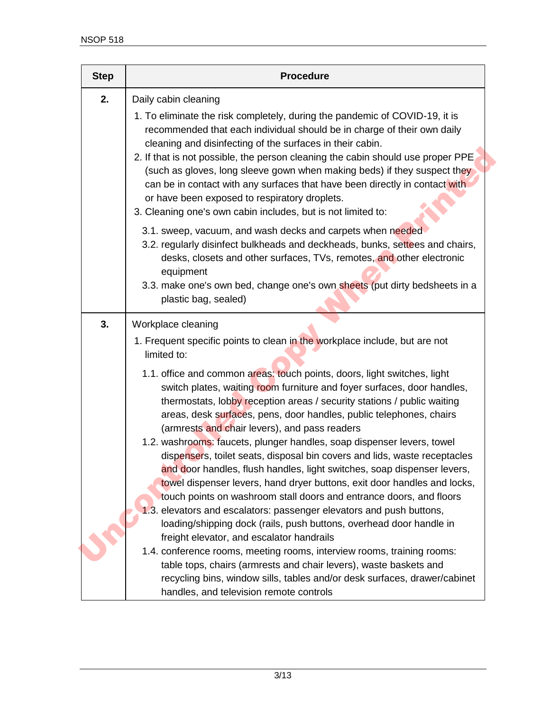| <b>Step</b> | <b>Procedure</b>                                                                                                                                                                                                                                                                                                                                                                                                                                                                                                                                                                                           |
|-------------|------------------------------------------------------------------------------------------------------------------------------------------------------------------------------------------------------------------------------------------------------------------------------------------------------------------------------------------------------------------------------------------------------------------------------------------------------------------------------------------------------------------------------------------------------------------------------------------------------------|
| 2.          | Daily cabin cleaning<br>1. To eliminate the risk completely, during the pandemic of COVID-19, it is<br>recommended that each individual should be in charge of their own daily<br>cleaning and disinfecting of the surfaces in their cabin.<br>2. If that is not possible, the person cleaning the cabin should use proper PPE<br>(such as gloves, long sleeve gown when making beds) if they suspect they<br>can be in contact with any surfaces that have been directly in contact with<br>or have been exposed to respiratory droplets.<br>3. Cleaning one's own cabin includes, but is not limited to: |
|             | 3.1. sweep, vacuum, and wash decks and carpets when needed<br>3.2. regularly disinfect bulkheads and deckheads, bunks, settees and chairs,<br>desks, closets and other surfaces, TVs, remotes, and other electronic<br>equipment<br>3.3. make one's own bed, change one's own sheets (put dirty bedsheets in a<br>plastic bag, sealed)                                                                                                                                                                                                                                                                     |
| 3.          | Workplace cleaning<br>1. Frequent specific points to clean in the workplace include, but are not<br>limited to:                                                                                                                                                                                                                                                                                                                                                                                                                                                                                            |
|             | 1.1. office and common areas: touch points, doors, light switches, light<br>switch plates, waiting room furniture and foyer surfaces, door handles,<br>thermostats, lobby reception areas / security stations / public waiting<br>areas, desk surfaces, pens, door handles, public telephones, chairs<br>(armrests and chair levers), and pass readers<br>1.2. washrooms: faucets, plunger handles, soap dispenser levers, towel                                                                                                                                                                           |
|             | dispensers, toilet seats, disposal bin covers and lids, waste receptacles<br>and door handles, flush handles, light switches, soap dispenser levers,<br>towel dispenser levers, hand dryer buttons, exit door handles and locks,<br>touch points on washroom stall doors and entrance doors, and floors<br>1.3. elevators and escalators: passenger elevators and push buttons,                                                                                                                                                                                                                            |
|             | loading/shipping dock (rails, push buttons, overhead door handle in<br>freight elevator, and escalator handrails<br>1.4. conference rooms, meeting rooms, interview rooms, training rooms:<br>table tops, chairs (armrests and chair levers), waste baskets and<br>recycling bins, window sills, tables and/or desk surfaces, drawer/cabinet<br>handles, and television remote controls                                                                                                                                                                                                                    |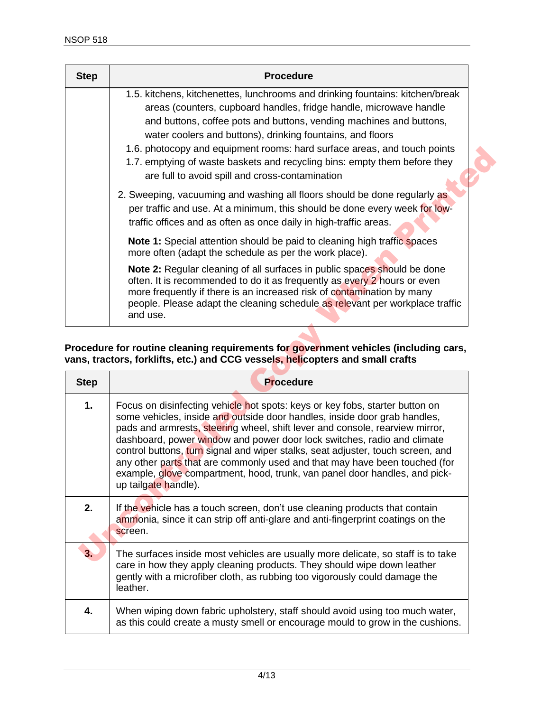| <b>Step</b> | <b>Procedure</b>                                                                                                                                                                                                                                                                                                                                                                                                                                                                                     |
|-------------|------------------------------------------------------------------------------------------------------------------------------------------------------------------------------------------------------------------------------------------------------------------------------------------------------------------------------------------------------------------------------------------------------------------------------------------------------------------------------------------------------|
|             | 1.5. kitchens, kitchenettes, lunchrooms and drinking fountains: kitchen/break<br>areas (counters, cupboard handles, fridge handle, microwave handle<br>and buttons, coffee pots and buttons, vending machines and buttons,<br>water coolers and buttons), drinking fountains, and floors<br>1.6. photocopy and equipment rooms: hard surface areas, and touch points<br>1.7. emptying of waste baskets and recycling bins: empty them before they<br>are full to avoid spill and cross-contamination |
|             | 2. Sweeping, vacuuming and washing all floors should be done regularly as<br>per traffic and use. At a minimum, this should be done every week for low-<br>traffic offices and as often as once daily in high-traffic areas.                                                                                                                                                                                                                                                                         |
|             | <b>Note 1:</b> Special attention should be paid to cleaning high traffic spaces<br>more often (adapt the schedule as per the work place).                                                                                                                                                                                                                                                                                                                                                            |
|             | <b>Note 2:</b> Regular cleaning of all surfaces in public spaces should be done<br>often. It is recommended to do it as frequently as every 2 hours or even<br>more frequently if there is an increased risk of contamination by many<br>people. Please adapt the cleaning schedule as relevant per workplace traffic<br>and use.                                                                                                                                                                    |

#### **Procedure for routine cleaning requirements for government vehicles (including cars, vans, tractors, forklifts, etc.) and CCG vessels, helicopters and small crafts**

|             | 1.6. photocopy and equipment rooms: hard surface areas, and touch points<br>1.7. emptying of waste baskets and recycling bins: empty them before they<br>are full to avoid spill and cross-contamination                                                                                                                                                                                                                                                                                                                                                                                    |
|-------------|---------------------------------------------------------------------------------------------------------------------------------------------------------------------------------------------------------------------------------------------------------------------------------------------------------------------------------------------------------------------------------------------------------------------------------------------------------------------------------------------------------------------------------------------------------------------------------------------|
|             | 2. Sweeping, vacuuming and washing all floors should be done regularly as<br>per traffic and use. At a minimum, this should be done every week for low-<br>traffic offices and as often as once daily in high-traffic areas.                                                                                                                                                                                                                                                                                                                                                                |
|             | Note 1: Special attention should be paid to cleaning high traffic spaces<br>more often (adapt the schedule as per the work place).                                                                                                                                                                                                                                                                                                                                                                                                                                                          |
|             | Note 2: Regular cleaning of all surfaces in public spaces should be done<br>often. It is recommended to do it as frequently as every 2 hours or even<br>more frequently if there is an increased risk of contamination by many<br>people. Please adapt the cleaning schedule as relevant per workplace traffic<br>and use.                                                                                                                                                                                                                                                                  |
|             | Procedure for routine cleaning requirements for government vehicles (including cars,<br>vans, tractors, forklifts, etc.) and CCG vessels, helicopters and small crafts                                                                                                                                                                                                                                                                                                                                                                                                                      |
|             |                                                                                                                                                                                                                                                                                                                                                                                                                                                                                                                                                                                             |
| <b>Step</b> | <b>Procedure</b>                                                                                                                                                                                                                                                                                                                                                                                                                                                                                                                                                                            |
| 1.          | Focus on disinfecting vehicle hot spots: keys or key fobs, starter button on<br>some vehicles, inside and outside door handles, inside door grab handles,<br>pads and armrests, steering wheel, shift lever and console, rearview mirror,<br>dashboard, power window and power door lock switches, radio and climate<br>control buttons, turn signal and wiper stalks, seat adjuster, touch screen, and<br>any other parts that are commonly used and that may have been touched (for<br>example, glove compartment, hood, trunk, van panel door handles, and pick-<br>up tailgate handle). |
| 2.          | If the vehicle has a touch screen, don't use cleaning products that contain<br>ammonia, since it can strip off anti-glare and anti-fingerprint coatings on the<br>screen.                                                                                                                                                                                                                                                                                                                                                                                                                   |
| 3.          | The surfaces inside most vehicles are usually more delicate, so staff is to take<br>care in how they apply cleaning products. They should wipe down leather<br>gently with a microfiber cloth, as rubbing too vigorously could damage the<br>leather.                                                                                                                                                                                                                                                                                                                                       |
| 4.          | When wiping down fabric upholstery, staff should avoid using too much water,<br>as this could create a musty smell or encourage mould to grow in the cushions.                                                                                                                                                                                                                                                                                                                                                                                                                              |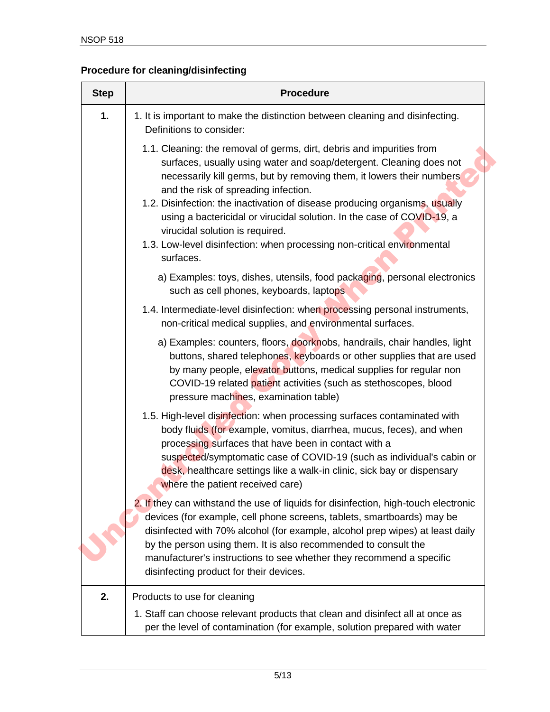## **Procedure for cleaning/disinfecting**

| <b>Step</b> | <b>Procedure</b>                                                                                                                                                                                                                                                                                                                                                                                                                                                                                                                                  |
|-------------|---------------------------------------------------------------------------------------------------------------------------------------------------------------------------------------------------------------------------------------------------------------------------------------------------------------------------------------------------------------------------------------------------------------------------------------------------------------------------------------------------------------------------------------------------|
| 1.          | 1. It is important to make the distinction between cleaning and disinfecting.<br>Definitions to consider:                                                                                                                                                                                                                                                                                                                                                                                                                                         |
|             | 1.1. Cleaning: the removal of germs, dirt, debris and impurities from<br>surfaces, usually using water and soap/detergent. Cleaning does not<br>necessarily kill germs, but by removing them, it lowers their numbers<br>and the risk of spreading infection.<br>1.2. Disinfection: the inactivation of disease producing organisms, usually<br>using a bactericidal or virucidal solution. In the case of COVID-19, a<br>virucidal solution is required.<br>1.3. Low-level disinfection: when processing non-critical environmental<br>surfaces. |
|             | a) Examples: toys, dishes, utensils, food packaging, personal electronics<br>such as cell phones, keyboards, laptops                                                                                                                                                                                                                                                                                                                                                                                                                              |
|             | 1.4. Intermediate-level disinfection: when processing personal instruments,<br>non-critical medical supplies, and environmental surfaces.                                                                                                                                                                                                                                                                                                                                                                                                         |
|             | a) Examples: counters, floors, doorknobs, handrails, chair handles, light<br>buttons, shared telephones, keyboards or other supplies that are used<br>by many people, elevator buttons, medical supplies for regular non<br>COVID-19 related patient activities (such as stethoscopes, blood<br>pressure machines, examination table)                                                                                                                                                                                                             |
|             | 1.5. High-level disinfection: when processing surfaces contaminated with<br>body fluids (for example, vomitus, diarrhea, mucus, feces), and when<br>processing surfaces that have been in contact with a<br>suspected/symptomatic case of COVID-19 (such as individual's cabin or<br>desk, healthcare settings like a walk-in clinic, sick bay or dispensary<br>where the patient received care)                                                                                                                                                  |
|             | 2. If they can withstand the use of liquids for disinfection, high-touch electronic<br>devices (for example, cell phone screens, tablets, smartboards) may be<br>disinfected with 70% alcohol (for example, alcohol prep wipes) at least daily<br>by the person using them. It is also recommended to consult the<br>manufacturer's instructions to see whether they recommend a specific<br>disinfecting product for their devices.                                                                                                              |
| 2.          | Products to use for cleaning<br>1. Staff can choose relevant products that clean and disinfect all at once as<br>per the level of contamination (for example, solution prepared with water                                                                                                                                                                                                                                                                                                                                                        |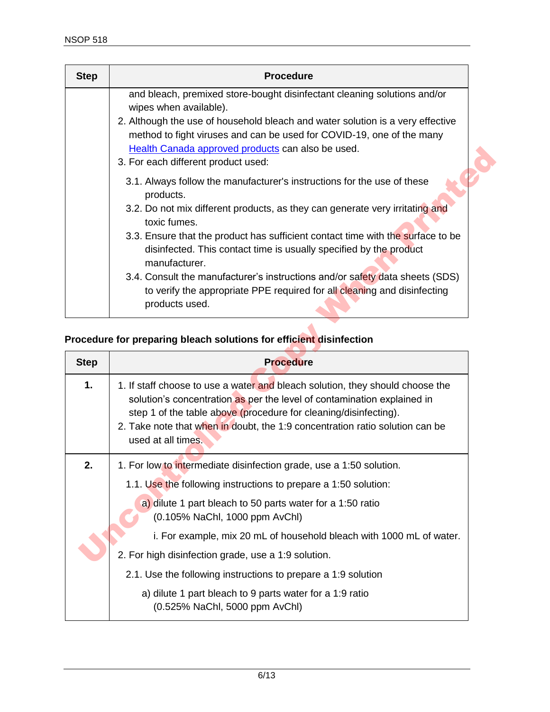| <b>Step</b> | <b>Procedure</b>                                                                                                                                                                                                                                                              |
|-------------|-------------------------------------------------------------------------------------------------------------------------------------------------------------------------------------------------------------------------------------------------------------------------------|
|             | and bleach, premixed store-bought disinfectant cleaning solutions and/or                                                                                                                                                                                                      |
|             | wipes when available).<br>2. Although the use of household bleach and water solution is a very effective<br>method to fight viruses and can be used for COVID-19, one of the many<br>Health Canada approved products can also be used.<br>3. For each different product used: |
|             | 3.1. Always follow the manufacturer's instructions for the use of these<br>products.                                                                                                                                                                                          |
|             | 3.2. Do not mix different products, as they can generate very irritating and<br>toxic fumes.                                                                                                                                                                                  |
|             | 3.3. Ensure that the product has sufficient contact time with the surface to be<br>disinfected. This contact time is usually specified by the product<br>manufacturer.                                                                                                        |
|             | 3.4. Consult the manufacturer's instructions and/or safety data sheets (SDS)<br>to verify the appropriate PPE required for all cleaning and disinfecting<br>products used.                                                                                                    |

# **Procedure for preparing bleach solutions for efficient disinfection**

|             | Health Canada approved products can also be used.<br>3. For each different product used:                                                                                                                                                                                                                                                                                                                                                                                                                                                     |
|-------------|----------------------------------------------------------------------------------------------------------------------------------------------------------------------------------------------------------------------------------------------------------------------------------------------------------------------------------------------------------------------------------------------------------------------------------------------------------------------------------------------------------------------------------------------|
|             | 3.1. Always follow the manufacturer's instructions for the use of these<br>products.<br>3.2. Do not mix different products, as they can generate very irritating and<br>toxic fumes.<br>3.3. Ensure that the product has sufficient contact time with the surface to be<br>disinfected. This contact time is usually specified by the product<br>manufacturer.<br>3.4. Consult the manufacturer's instructions and/or safety data sheets (SDS)<br>to verify the appropriate PPE required for all cleaning and disinfecting<br>products used. |
|             | Procedure for preparing bleach solutions for efficient disinfection                                                                                                                                                                                                                                                                                                                                                                                                                                                                          |
| <b>Step</b> | <b>Procedure</b>                                                                                                                                                                                                                                                                                                                                                                                                                                                                                                                             |
|             | 1. If staff choose to use a water and bleach solution, they should choose the                                                                                                                                                                                                                                                                                                                                                                                                                                                                |
| 1.          | solution's concentration as per the level of contamination explained in<br>step 1 of the table above (procedure for cleaning/disinfecting).<br>2. Take note that when in doubt, the 1:9 concentration ratio solution can be<br>used at all times.                                                                                                                                                                                                                                                                                            |
| 2.          | 1. For low to intermediate disinfection grade, use a 1:50 solution.                                                                                                                                                                                                                                                                                                                                                                                                                                                                          |
|             | 1.1. Use the following instructions to prepare a 1:50 solution:                                                                                                                                                                                                                                                                                                                                                                                                                                                                              |
|             | a) dilute 1 part bleach to 50 parts water for a 1:50 ratio<br>(0.105% NaChl, 1000 ppm AvChl)                                                                                                                                                                                                                                                                                                                                                                                                                                                 |
|             | i. For example, mix 20 mL of household bleach with 1000 mL of water.                                                                                                                                                                                                                                                                                                                                                                                                                                                                         |
|             | 2. For high disinfection grade, use a 1:9 solution.                                                                                                                                                                                                                                                                                                                                                                                                                                                                                          |
|             | 2.1. Use the following instructions to prepare a 1:9 solution                                                                                                                                                                                                                                                                                                                                                                                                                                                                                |
|             | a) dilute 1 part bleach to 9 parts water for a 1:9 ratio<br>(0.525% NaChl, 5000 ppm AvChl)                                                                                                                                                                                                                                                                                                                                                                                                                                                   |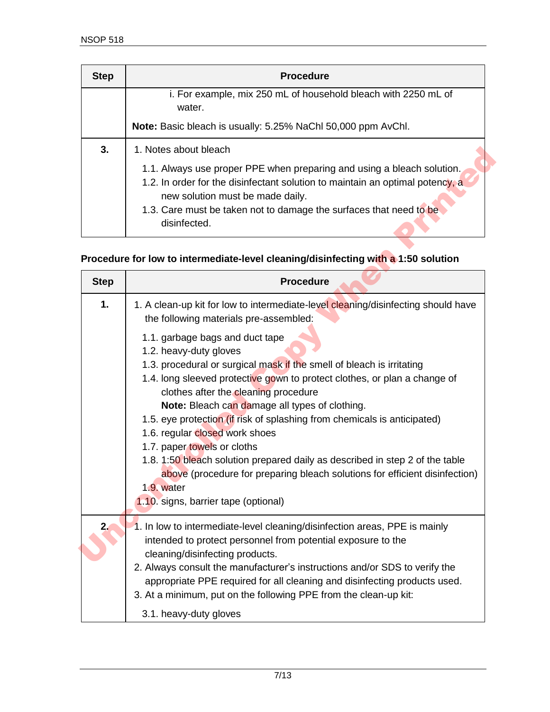| <b>Step</b> | <b>Procedure</b>                                                                                                                                                                                                                                                                  |
|-------------|-----------------------------------------------------------------------------------------------------------------------------------------------------------------------------------------------------------------------------------------------------------------------------------|
|             | i. For example, mix 250 mL of household bleach with 2250 mL of<br>water.                                                                                                                                                                                                          |
|             | Note: Basic bleach is usually: 5.25% NaChl 50,000 ppm AvChl.                                                                                                                                                                                                                      |
| 3.          | 1. Notes about bleach                                                                                                                                                                                                                                                             |
|             | 1.1. Always use proper PPE when preparing and using a bleach solution.<br>1.2. In order for the disinfectant solution to maintain an optimal potency, a<br>new solution must be made daily.<br>1.3. Care must be taken not to damage the surfaces that need to be<br>disinfected. |

### **Procedure for low to intermediate-level cleaning/disinfecting with a 1:50 solution**

| 3.          | 1. Notes about bleach                                                                                                                                                                                                                                             |
|-------------|-------------------------------------------------------------------------------------------------------------------------------------------------------------------------------------------------------------------------------------------------------------------|
|             | 1.1. Always use proper PPE when preparing and using a bleach solution.<br>1.2. In order for the disinfectant solution to maintain an optimal potency, a<br>new solution must be made daily.<br>1.3. Care must be taken not to damage the surfaces that need to be |
|             | disinfected.                                                                                                                                                                                                                                                      |
|             | Procedure for low to intermediate-level cleaning/disinfecting with a 1:50 solution                                                                                                                                                                                |
| <b>Step</b> | <b>Procedure</b>                                                                                                                                                                                                                                                  |
| 1.          | 1. A clean-up kit for low to intermediate-level cleaning/disinfecting should have<br>the following materials pre-assembled:                                                                                                                                       |
|             | 1.1. garbage bags and duct tape                                                                                                                                                                                                                                   |
|             | 1.2. heavy-duty gloves<br>1.3. procedural or surgical mask if the smell of bleach is irritating                                                                                                                                                                   |
|             | 1.4. long sleeved protective gown to protect clothes, or plan a change of<br>clothes after the cleaning procedure                                                                                                                                                 |
|             | Note: Bleach can damage all types of clothing.                                                                                                                                                                                                                    |
|             | 1.5. eye protection (if risk of splashing from chemicals is anticipated)<br>1.6. regular closed work shoes                                                                                                                                                        |
|             | 1.7. paper towels or cloths                                                                                                                                                                                                                                       |
|             | 1.8. 1:50 bleach solution prepared daily as described in step 2 of the table<br>above (procedure for preparing bleach solutions for efficient disinfection)                                                                                                       |
|             | 1.9. water<br>1.10. signs, barrier tape (optional)                                                                                                                                                                                                                |
| 2.          | 1. In low to intermediate-level cleaning/disinfection areas, PPE is mainly                                                                                                                                                                                        |
|             | intended to protect personnel from potential exposure to the                                                                                                                                                                                                      |
|             | cleaning/disinfecting products.                                                                                                                                                                                                                                   |
|             | 2. Always consult the manufacturer's instructions and/or SDS to verify the<br>appropriate PPE required for all cleaning and disinfecting products used.<br>3. At a minimum, put on the following PPE from the clean-up kit:                                       |
|             | 3.1. heavy-duty gloves                                                                                                                                                                                                                                            |
|             |                                                                                                                                                                                                                                                                   |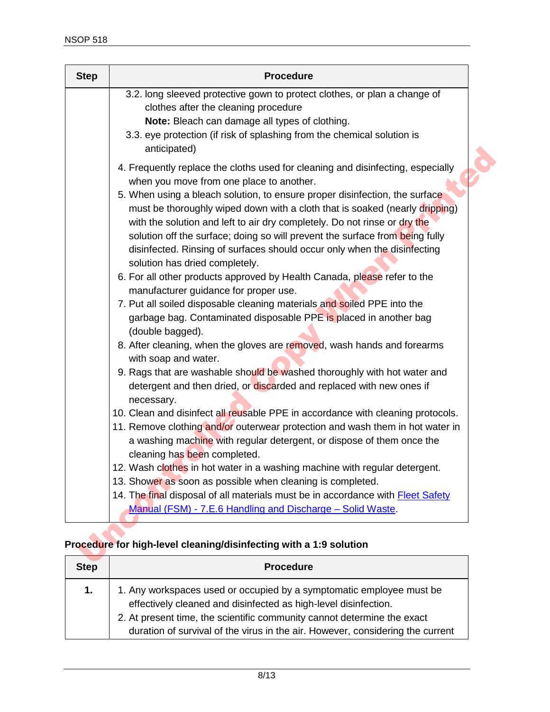| <b>Step</b> | <b>Procedure</b>                                                                                                                                                                                                                                                                                                                                                                                                                      |
|-------------|---------------------------------------------------------------------------------------------------------------------------------------------------------------------------------------------------------------------------------------------------------------------------------------------------------------------------------------------------------------------------------------------------------------------------------------|
|             | 3.2. long sleeved protective gown to protect clothes, or plan a change of<br>clothes after the cleaning procedure                                                                                                                                                                                                                                                                                                                     |
|             | Note: Bleach can damage all types of clothing.<br>3.3. eye protection (if risk of splashing from the chemical solution is<br>anticipated)                                                                                                                                                                                                                                                                                             |
|             | 4. Frequently replace the cloths used for cleaning and disinfecting, especially<br>when you move from one place to another.                                                                                                                                                                                                                                                                                                           |
|             | 5. When using a bleach solution, to ensure proper disinfection, the surface<br>must be thoroughly wiped down with a cloth that is soaked (nearly dripping)<br>with the solution and left to air dry completely. Do not rinse or dry the<br>solution off the surface; doing so will prevent the surface from being fully<br>disinfected. Rinsing of surfaces should occur only when the disinfecting<br>solution has dried completely. |
|             | 6. For all other products approved by Health Canada, please refer to the<br>manufacturer guidance for proper use.                                                                                                                                                                                                                                                                                                                     |
|             | 7. Put all soiled disposable cleaning materials and soiled PPE into the<br>garbage bag. Contaminated disposable PPE is placed in another bag<br>(double bagged).                                                                                                                                                                                                                                                                      |
|             | 8. After cleaning, when the gloves are removed, wash hands and forearms<br>with soap and water.                                                                                                                                                                                                                                                                                                                                       |
|             | 9. Rags that are washable should be washed thoroughly with hot water and<br>detergent and then dried, or discarded and replaced with new ones if<br>necessary.                                                                                                                                                                                                                                                                        |
|             | 10. Clean and disinfect all reusable PPE in accordance with cleaning protocols.<br>11. Remove clothing and/or outerwear protection and wash them in hot water in<br>a washing machine with regular detergent, or dispose of them once the<br>cleaning has been completed.                                                                                                                                                             |
|             | 12. Wash clothes in hot water in a washing machine with regular detergent.                                                                                                                                                                                                                                                                                                                                                            |
|             | 13. Shower as soon as possible when cleaning is completed.                                                                                                                                                                                                                                                                                                                                                                            |
|             | 14. The final disposal of all materials must be in accordance with <b>Fleet Safety</b><br>Manual (FSM) - 7.E.6 Handling and Discharge - Solid Waste.                                                                                                                                                                                                                                                                                  |

### **Procedure for high-level cleaning/disinfecting with a 1:9 solution**

| <b>Step</b> | <b>Procedure</b>                                                                                                                                                                                                                                                                                     |
|-------------|------------------------------------------------------------------------------------------------------------------------------------------------------------------------------------------------------------------------------------------------------------------------------------------------------|
| 1.          | 1. Any workspaces used or occupied by a symptomatic employee must be<br>effectively cleaned and disinfected as high-level disinfection.<br>2. At present time, the scientific community cannot determine the exact<br>duration of survival of the virus in the air. However, considering the current |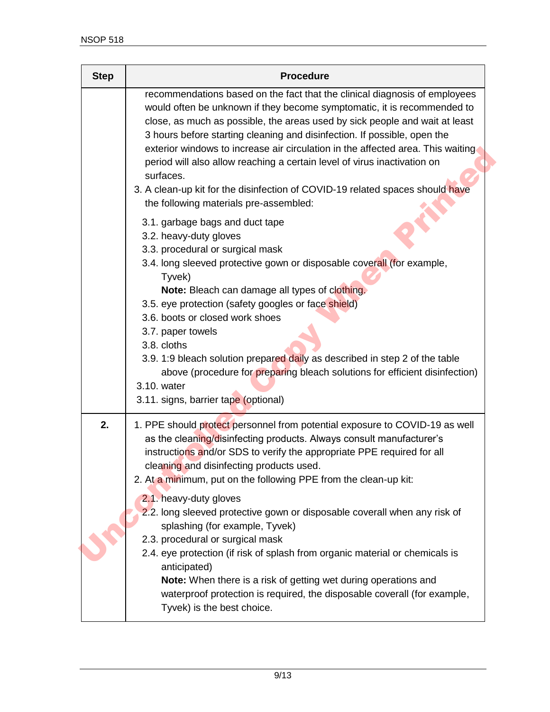| <b>Step</b> | <b>Procedure</b>                                                                                                                                                                                                                                                                                                                                                                                                                                                                                                                                                                                                                                                                                                                                                          |
|-------------|---------------------------------------------------------------------------------------------------------------------------------------------------------------------------------------------------------------------------------------------------------------------------------------------------------------------------------------------------------------------------------------------------------------------------------------------------------------------------------------------------------------------------------------------------------------------------------------------------------------------------------------------------------------------------------------------------------------------------------------------------------------------------|
|             | recommendations based on the fact that the clinical diagnosis of employees<br>would often be unknown if they become symptomatic, it is recommended to<br>close, as much as possible, the areas used by sick people and wait at least<br>3 hours before starting cleaning and disinfection. If possible, open the<br>exterior windows to increase air circulation in the affected area. This waiting<br>period will also allow reaching a certain level of virus inactivation on<br>surfaces.<br>3. A clean-up kit for the disinfection of COVID-19 related spaces should have<br>the following materials pre-assembled:                                                                                                                                                   |
|             | 3.1. garbage bags and duct tape<br>3.2. heavy-duty gloves<br>3.3. procedural or surgical mask<br>3.4. long sleeved protective gown or disposable coverall (for example,<br>Tyvek)<br>Note: Bleach can damage all types of clothing.<br>3.5. eye protection (safety googles or face shield)<br>3.6. boots or closed work shoes<br>3.7. paper towels<br>3.8. cloths<br>3.9. 1:9 bleach solution prepared daily as described in step 2 of the table<br>above (procedure for preparing bleach solutions for efficient disinfection)<br>3.10. water<br>3.11. signs, barrier tape (optional)                                                                                                                                                                                    |
| 2.          | 1. PPE should protect personnel from potential exposure to COVID-19 as well<br>as the cleaning/disinfecting products. Always consult manufacturer's<br>instructions and/or SDS to verify the appropriate PPE required for all<br>cleaning and disinfecting products used.<br>2. At a minimum, put on the following PPE from the clean-up kit:<br>2.1. heavy-duty gloves<br>2.2. long sleeved protective gown or disposable coverall when any risk of<br>splashing (for example, Tyvek)<br>2.3. procedural or surgical mask<br>2.4. eye protection (if risk of splash from organic material or chemicals is<br>anticipated)<br>Note: When there is a risk of getting wet during operations and<br>waterproof protection is required, the disposable coverall (for example, |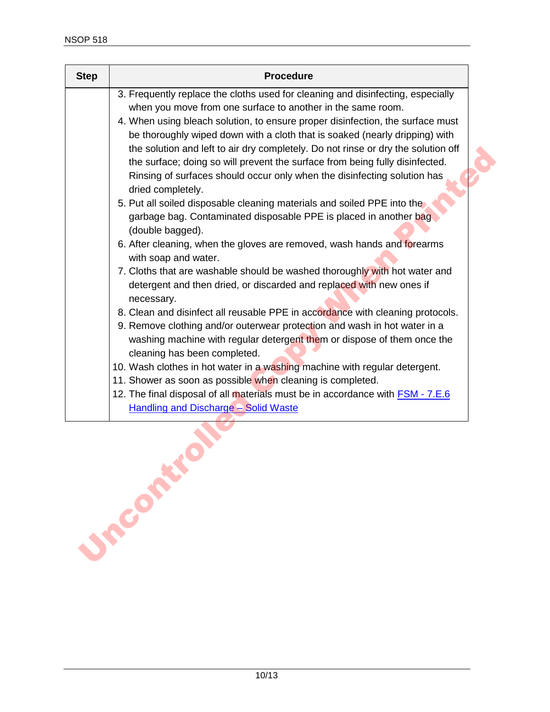| <b>Step</b> | <b>Procedure</b>                                                                                |
|-------------|-------------------------------------------------------------------------------------------------|
|             | 3. Frequently replace the cloths used for cleaning and disinfecting, especially                 |
|             | when you move from one surface to another in the same room.                                     |
|             | 4. When using bleach solution, to ensure proper disinfection, the surface must                  |
|             | be thoroughly wiped down with a cloth that is soaked (nearly dripping) with                     |
|             | the solution and left to air dry completely. Do not rinse or dry the solution off               |
|             | the surface; doing so will prevent the surface from being fully disinfected.                    |
|             | Rinsing of surfaces should occur only when the disinfecting solution has                        |
|             | dried completely.                                                                               |
|             | 5. Put all soiled disposable cleaning materials and soiled PPE into the                         |
|             | garbage bag. Contaminated disposable PPE is placed in another bag                               |
|             | (double bagged).                                                                                |
|             | 6. After cleaning, when the gloves are removed, wash hands and forearms<br>with soap and water. |
|             | 7. Cloths that are washable should be washed thoroughly with hot water and                      |
|             | detergent and then dried, or discarded and replaced with new ones if<br>necessary.              |
|             | 8. Clean and disinfect all reusable PPE in accordance with cleaning protocols.                  |
|             | 9. Remove clothing and/or outerwear protection and wash in hot water in a                       |
|             | washing machine with regular detergent them or dispose of them once the                         |
|             | cleaning has been completed.                                                                    |
|             | 10. Wash clothes in hot water in a washing machine with regular detergent.                      |
|             | 11. Shower as soon as possible when cleaning is completed.                                      |
|             | 12. The final disposal of all materials must be in accordance with <b>FSM</b> - 7.E.6           |
|             | <b>Handling and Discharge - Solid Waste</b>                                                     |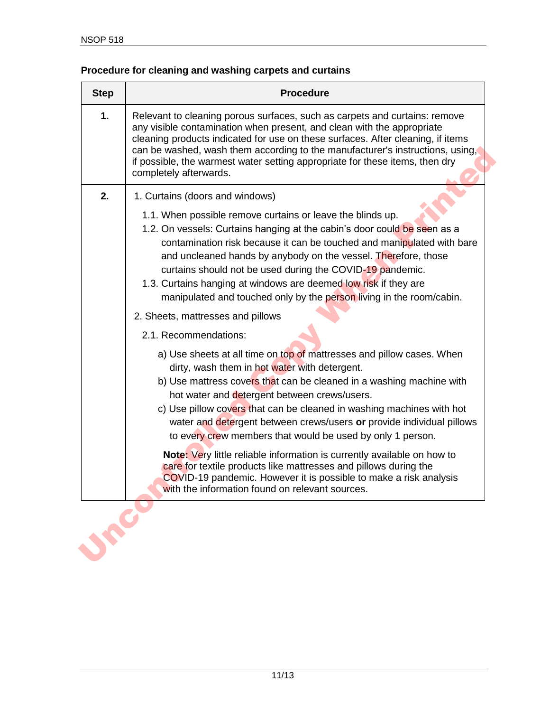## **Procedure for cleaning and washing carpets and curtains**

| <b>Step</b> | <b>Procedure</b>                                                                                                                                                                                                                                                                                                                                                                                                                                                                            |
|-------------|---------------------------------------------------------------------------------------------------------------------------------------------------------------------------------------------------------------------------------------------------------------------------------------------------------------------------------------------------------------------------------------------------------------------------------------------------------------------------------------------|
| 1.          | Relevant to cleaning porous surfaces, such as carpets and curtains: remove<br>any visible contamination when present, and clean with the appropriate<br>cleaning products indicated for use on these surfaces. After cleaning, if items<br>can be washed, wash them according to the manufacturer's instructions, using,<br>if possible, the warmest water setting appropriate for these items, then dry<br>completely afterwards.                                                          |
| 2.          | 1. Curtains (doors and windows)                                                                                                                                                                                                                                                                                                                                                                                                                                                             |
|             | 1.1. When possible remove curtains or leave the blinds up.<br>1.2. On vessels: Curtains hanging at the cabin's door could be seen as a<br>contamination risk because it can be touched and manipulated with bare<br>and uncleaned hands by anybody on the vessel. Therefore, those<br>curtains should not be used during the COVID-19 pandemic.<br>1.3. Curtains hanging at windows are deemed low risk if they are<br>manipulated and touched only by the person living in the room/cabin. |
|             | 2. Sheets, mattresses and pillows                                                                                                                                                                                                                                                                                                                                                                                                                                                           |
|             | 2.1. Recommendations:                                                                                                                                                                                                                                                                                                                                                                                                                                                                       |
|             | a) Use sheets at all time on top of mattresses and pillow cases. When<br>dirty, wash them in hot water with detergent.<br>b) Use mattress covers that can be cleaned in a washing machine with<br>hot water and detergent between crews/users.<br>c) Use pillow covers that can be cleaned in washing machines with hot<br>water and detergent between crews/users or provide individual pillows<br>to every crew members that would be used by only 1 person.                              |
|             | Note: Very little reliable information is currently available on how to<br>care for textile products like mattresses and pillows during the<br>COVID-19 pandemic. However it is possible to make a risk analysis<br>with the information found on relevant sources.                                                                                                                                                                                                                         |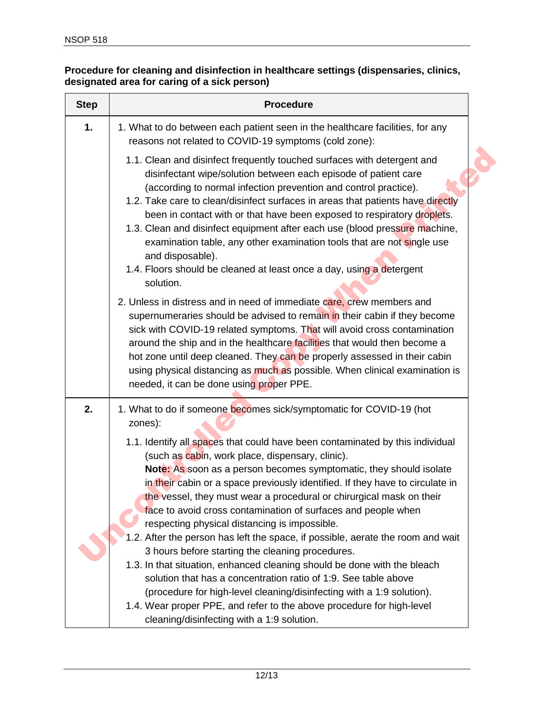### **Procedure for cleaning and disinfection in healthcare settings (dispensaries, clinics, designated area for caring of a sick person)**

| <b>Step</b> | <b>Procedure</b>                                                                                                                                                                                                                                                                                                                                                                                                                                                                                                                                                                                                                                                                                                                                                                                                                                                                                                                    |
|-------------|-------------------------------------------------------------------------------------------------------------------------------------------------------------------------------------------------------------------------------------------------------------------------------------------------------------------------------------------------------------------------------------------------------------------------------------------------------------------------------------------------------------------------------------------------------------------------------------------------------------------------------------------------------------------------------------------------------------------------------------------------------------------------------------------------------------------------------------------------------------------------------------------------------------------------------------|
| 1.          | 1. What to do between each patient seen in the healthcare facilities, for any<br>reasons not related to COVID-19 symptoms (cold zone):                                                                                                                                                                                                                                                                                                                                                                                                                                                                                                                                                                                                                                                                                                                                                                                              |
|             | 1.1. Clean and disinfect frequently touched surfaces with detergent and<br>disinfectant wipe/solution between each episode of patient care<br>(according to normal infection prevention and control practice).<br>1.2. Take care to clean/disinfect surfaces in areas that patients have directly<br>been in contact with or that have been exposed to respiratory droplets.<br>1.3. Clean and disinfect equipment after each use (blood pressure machine,<br>examination table, any other examination tools that are not single use<br>and disposable).<br>1.4. Floors should be cleaned at least once a day, using a detergent<br>solution.                                                                                                                                                                                                                                                                                       |
|             | 2. Unless in distress and in need of immediate care, crew members and<br>supernumeraries should be advised to remain in their cabin if they become<br>sick with COVID-19 related symptoms. That will avoid cross contamination<br>around the ship and in the healthcare facilities that would then become a<br>hot zone until deep cleaned. They can be properly assessed in their cabin<br>using physical distancing as much as possible. When clinical examination is<br>needed, it can be done using proper PPE.                                                                                                                                                                                                                                                                                                                                                                                                                 |
| 2.          | 1. What to do if someone becomes sick/symptomatic for COVID-19 (hot<br>zones):<br>1.1. Identify all spaces that could have been contaminated by this individual<br>(such as cabin, work place, dispensary, clinic).<br>Note: As soon as a person becomes symptomatic, they should isolate<br>in their cabin or a space previously identified. If they have to circulate in<br>the vessel, they must wear a procedural or chirurgical mask on their<br>face to avoid cross contamination of surfaces and people when<br>respecting physical distancing is impossible.<br>1.2. After the person has left the space, if possible, aerate the room and wait<br>3 hours before starting the cleaning procedures.<br>1.3. In that situation, enhanced cleaning should be done with the bleach<br>solution that has a concentration ratio of 1:9. See table above<br>(procedure for high-level cleaning/disinfecting with a 1:9 solution). |
|             | 1.4. Wear proper PPE, and refer to the above procedure for high-level<br>cleaning/disinfecting with a 1:9 solution.                                                                                                                                                                                                                                                                                                                                                                                                                                                                                                                                                                                                                                                                                                                                                                                                                 |